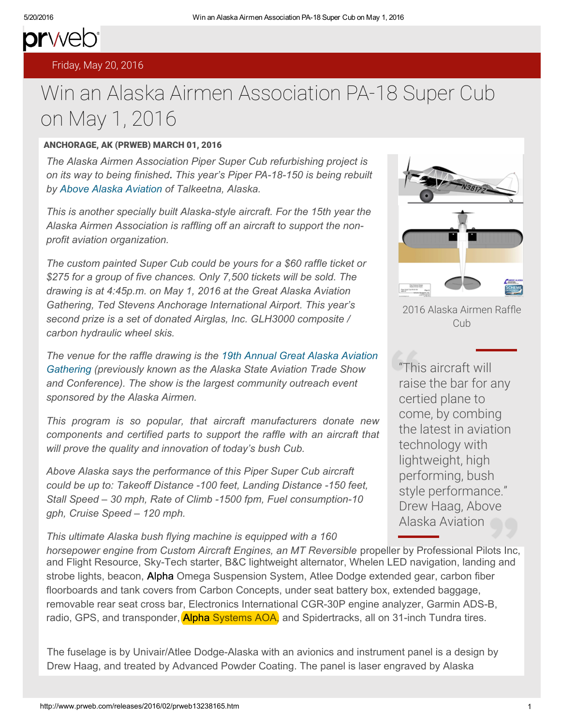## prweb<sup>®</sup> [Friday, May 20, 20](http://www.prweb.com/)16

## Wi[n an](http://www.prweb.com/) [Alaska Airm](http://www.prweb.com/recentnews/)[en As](http://www.cision.com/us/blog/)sociation PA-18 Super Cub on May 1, 2016

## ANCHORAGE, AK (PRWEB) MARCH 01, 2016

*The Alaska Airmen Association Piper Super Cub refurbishing project is on its way to being finished. This year's Piper PA-18-150 is being rebuilt by Above Alaska Aviation of Talkeetna, Alaska.*

*This is another specially built Alaska-style aircraft. For the 15th year the Alaska Airmen Association is raffling off an aircraft to support the nonprofit aviation organization.*

*The custom painted Super Cub could be [yours](http://www.addthis.com/bookmark.php) for a \$60 raffle ticket or \$275 for a group of five chances. Only 7,500 tickets will be sold. The drawing is at 4:45p.m. on May 1, 2016 at the Great Alaska Aviation Gathering, Ted Stevens Anchorage International Airport. This year's se[cond prize is a set of donated Airglas, Inc. GLH3000 composite /](https://www.youtube.com/watch?v=oEnjnhKwFM8)  carbon hydraulic wheel skis.*

*The venue for the raffle drawing is the 19th Annual Great Alaska Aviation Gathering (previously known as the Alaska State Aviation Trade Show*  and Conference). The show is the largest community outreach event *sponsored by the Alaska Airmen.*

*This program is so popular, that aircraft manufacturers donate new components and certified parts to support the raffle with an aircraft that will prove the quality and innovation of today's bush Cub.*

*Above Alaska says the performance of this Piper Super Cub aircraft could be up to: Takeoff Distance -100 feet, Landing Distance -150 feet, Stall Speed – 30 mph, Rate of Climb -1500 fpm, Fuel consumption-10 gph, Cruise Speed – 120 mph.*

*This ultimate Alaska bush flying machine is equipped with a 160* 



2016 Alaska Airmen Raffle Cub

"This aircraft will raise the bar for any certied plane to come, by combing the latest in aviation technology with lightweight, high performing, bush style performance." Drew Haag, Above Alaska Aviation

horsepower engine from Custom Aircraft Engines, an MT Reversible propeller by Professional Pilots Inc, and Flight Resource, Sky-Tech starter, B&C lightweight alternator, Whelen LED navigation, landing and strobe lights, beacon, Alpha Omega Suspension System, Atlee Dodge extended gear, carbon fiber floorboards and tank covers from Carbon Concepts, under seat battery box, extended baggage, removable rear seat cross bar, Electronics International CGR-30P engine analyzer, Garmin ADS-B, radio, GPS, and transponder, **Alpha Systems AOA**, and Spidertracks, all on 31-inch Tundra tires.

The fuselage is by Univair/Atlee Dodge-Alaska with an avionics and instrument panel is a design by Drew Haag, and treated by Advanced Powder Coating. The panel is laser engraved by Alaska